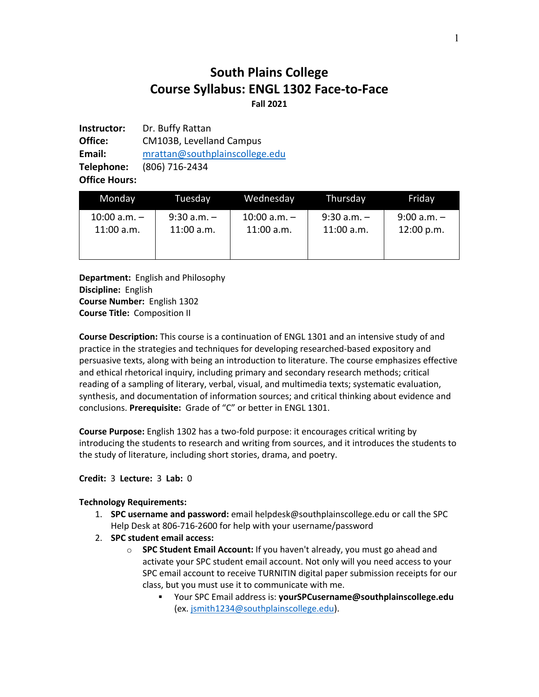# **South Plains College Course Syllabus: ENGL 1302 Face-to-Face Fall 2021**

**Instructor:** Dr. Buffy Rattan **Office:** CM103B, Levelland Campus **Email:** mrattan@southplainscollege.edu **Telephone:** (806) 716-2434 **Office Hours:**

| Monday           | Tuesdav         | Wednesday        | Thursday        | Friday          |
|------------------|-----------------|------------------|-----------------|-----------------|
| $10:00$ a.m. $-$ | $9:30$ a.m. $-$ | $10:00$ a.m. $-$ | $9:30$ a.m. $-$ | $9:00$ a.m. $-$ |
| 11:00 a.m.       | $11:00$ a.m.    | $11:00$ a.m.     | $11:00$ a.m.    | 12:00 p.m.      |

**Department:** English and Philosophy **Discipline:** English **Course Number:** English 1302 **Course Title:** Composition II

**Course Description:** This course is a continuation of ENGL 1301 and an intensive study of and practice in the strategies and techniques for developing researched-based expository and persuasive texts, along with being an introduction to literature. The course emphasizes effective and ethical rhetorical inquiry, including primary and secondary research methods; critical reading of a sampling of literary, verbal, visual, and multimedia texts; systematic evaluation, synthesis, and documentation of information sources; and critical thinking about evidence and conclusions. **Prerequisite:** Grade of "C" or better in ENGL 1301.

**Course Purpose:** English 1302 has a two-fold purpose: it encourages critical writing by introducing the students to research and writing from sources, and it introduces the students to the study of literature, including short stories, drama, and poetry.

#### **Credit:** 3 **Lecture:** 3 **Lab:** 0

#### **Technology Requirements:**

- 1. **SPC username and password:** email helpdesk@southplainscollege.edu or call the SPC Help Desk at 806-716-2600 for help with your username/password
- 2. **SPC student email access:**
	- o **SPC Student Email Account:** If you haven't already, you must go ahead and activate your SPC student email account. Not only will you need access to your SPC email account to receive TURNITIN digital paper submission receipts for our class, but you must use it to communicate with me.
		- § Your SPC Email address is: **yourSPCusername@southplainscollege.edu** (ex. jsmith1234@southplainscollege.edu).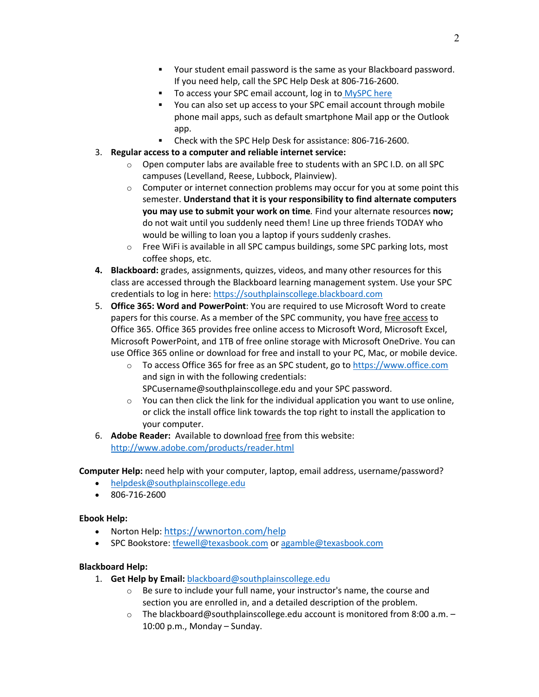- § Your student email password is the same as your Blackboard password. If you need help, call the SPC Help Desk at 806-716-2600.
- To access your SPC email account, log in to MySPC here
- § You can also set up access to your SPC email account through mobile phone mail apps, such as default smartphone Mail app or the Outlook app.
- Check with the SPC Help Desk for assistance: 806-716-2600.
- 3. **Regular access to a computer and reliable internet service:**
	- o Open computer labs are available free to students with an SPC I.D. on all SPC campuses (Levelland, Reese, Lubbock, Plainview).
	- $\circ$  Computer or internet connection problems may occur for you at some point this semester. **Understand that it is your responsibility to find alternate computers you may use to submit your work on time***.* Find your alternate resources **now;** do not wait until you suddenly need them! Line up three friends TODAY who would be willing to loan you a laptop if yours suddenly crashes.
	- o Free WiFi is available in all SPC campus buildings, some SPC parking lots, most coffee shops, etc.
- **4. Blackboard:** grades, assignments, quizzes, videos, and many other resources for this class are accessed through the Blackboard learning management system. Use your SPC credentials to log in here: https://southplainscollege.blackboard.com
- 5. **Office 365: Word and PowerPoint**: You are required to use Microsoft Word to create papers for this course. As a member of the SPC community, you have free access to Office 365. Office 365 provides free online access to Microsoft Word, Microsoft Excel, Microsoft PowerPoint, and 1TB of free online storage with Microsoft OneDrive. You can use Office 365 online or download for free and install to your PC, Mac, or mobile device.
	- o To access Office 365 for free as an SPC student, go to https://www.office.com and sign in with the following credentials: SPCusername@southplainscollege.edu and your SPC password.
	- $\circ$  You can then click the link for the individual application you want to use online, or click the install office link towards the top right to install the application to your computer.
- 6. **Adobe Reader:** Available to download free from this website: http://www.adobe.com/products/reader.html

**Computer Help:** need help with your computer, laptop, email address, username/password?

- helpdesk@southplainscollege.edu
- 806-716-2600

#### **Ebook Help:**

- Norton Help: https://wwnorton.com/help
- SPC Bookstore: tfewell@texasbook.com or agamble@texasbook.com

#### **Blackboard Help:**

- 1. **Get Help by Email:** blackboard@southplainscollege.edu
	- o Be sure to include your full name, your instructor's name, the course and section you are enrolled in, and a detailed description of the problem.
	- o The blackboard@southplainscollege.edu account is monitored from 8:00 a.m. 10:00 p.m., Monday – Sunday.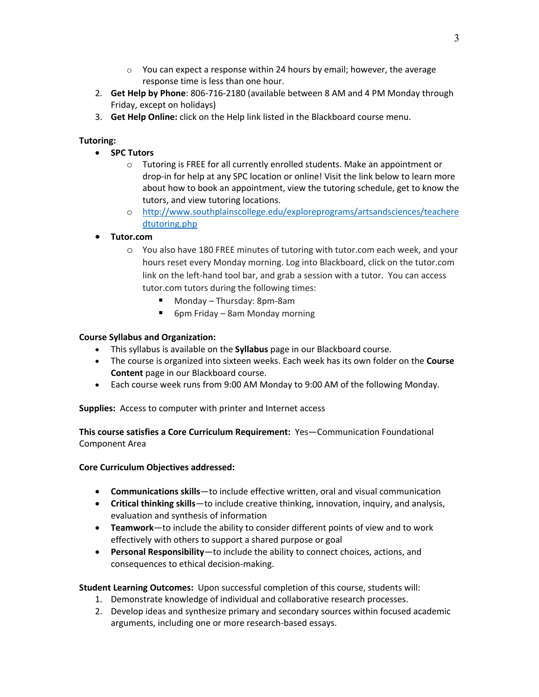- $\circ$  You can expect a response within 24 hours by email; however, the average response time is less than one hour.
- 2. **Get Help by Phone**: 806-716-2180 (available between 8 AM and 4 PM Monday through Friday, except on holidays)
- 3. **Get Help Online:** click on the Help link listed in the Blackboard course menu.

# **Tutoring:**

- **SPC Tutors**
	- o Tutoring is FREE for all currently enrolled students. Make an appointment or drop-in for help at any SPC location or online! Visit the link below to learn more about how to book an appointment, view the tutoring schedule, get to know the tutors, and view tutoring locations.
	- o http://www.southplainscollege.edu/exploreprograms/artsandsciences/teachere dtutoring.php

## • **Tutor.com**

- o You also have 180 FREE minutes of tutoring with tutor.com each week, and your hours reset every Monday morning. Log into Blackboard, click on the tutor.com link on the left-hand tool bar, and grab a session with a tutor. You can access tutor.com tutors during the following times:
	- Monday Thursday: 8pm-8am
	- 6pm Friday 8am Monday morning

#### **Course Syllabus and Organization:**

- This syllabus is available on the **Syllabus** page in our Blackboard course.
- The course is organized into sixteen weeks. Each week has its own folder on the **Course Content** page in our Blackboard course.
- Each course week runs from 9:00 AM Monday to 9:00 AM of the following Monday.

**Supplies:** Access to computer with printer and Internet access

**This course satisfies a Core Curriculum Requirement:** Yes—Communication Foundational Component Area

#### **Core Curriculum Objectives addressed:**

- **Communications skills**—to include effective written, oral and visual communication
- **Critical thinking skills**—to include creative thinking, innovation, inquiry, and analysis, evaluation and synthesis of information
- **Teamwork**—to include the ability to consider different points of view and to work effectively with others to support a shared purpose or goal
- **Personal Responsibility**—to include the ability to connect choices, actions, and consequences to ethical decision-making.

**Student Learning Outcomes:** Upon successful completion of this course, students will:

- 1. Demonstrate knowledge of individual and collaborative research processes.
- 2. Develop ideas and synthesize primary and secondary sources within focused academic arguments, including one or more research-based essays.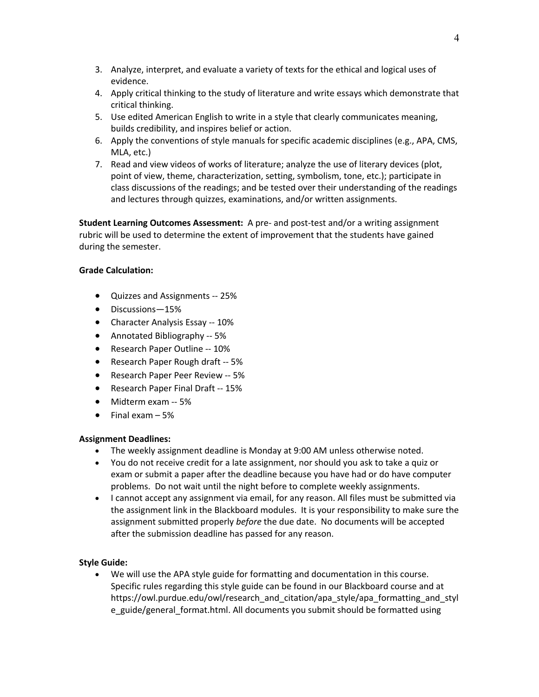- 3. Analyze, interpret, and evaluate a variety of texts for the ethical and logical uses of evidence.
- 4. Apply critical thinking to the study of literature and write essays which demonstrate that critical thinking.
- 5. Use edited American English to write in a style that clearly communicates meaning, builds credibility, and inspires belief or action.
- 6. Apply the conventions of style manuals for specific academic disciplines (e.g., APA, CMS, MLA, etc.)
- 7. Read and view videos of works of literature; analyze the use of literary devices (plot, point of view, theme, characterization, setting, symbolism, tone, etc.); participate in class discussions of the readings; and be tested over their understanding of the readings and lectures through quizzes, examinations, and/or written assignments.

**Student Learning Outcomes Assessment:** A pre- and post-test and/or a writing assignment rubric will be used to determine the extent of improvement that the students have gained during the semester.

## **Grade Calculation:**

- Quizzes and Assignments -- 25%
- Discussions—15%
- Character Analysis Essay -- 10%
- Annotated Bibliography -- 5%
- Research Paper Outline -- 10%
- Research Paper Rough draft -- 5%
- Research Paper Peer Review -- 5%
- Research Paper Final Draft -- 15%
- Midterm exam -- 5%
- $\bullet$  Final exam  $-5\%$

#### **Assignment Deadlines:**

- The weekly assignment deadline is Monday at 9:00 AM unless otherwise noted.
- You do not receive credit for a late assignment, nor should you ask to take a quiz or exam or submit a paper after the deadline because you have had or do have computer problems. Do not wait until the night before to complete weekly assignments.
- I cannot accept any assignment via email, for any reason. All files must be submitted via the assignment link in the Blackboard modules. It is your responsibility to make sure the assignment submitted properly *before* the due date. No documents will be accepted after the submission deadline has passed for any reason.

# **Style Guide:**

• We will use the APA style guide for formatting and documentation in this course. Specific rules regarding this style guide can be found in our Blackboard course and at https://owl.purdue.edu/owl/research\_and\_citation/apa\_style/apa\_formatting\_and\_styl e\_guide/general\_format.html. All documents you submit should be formatted using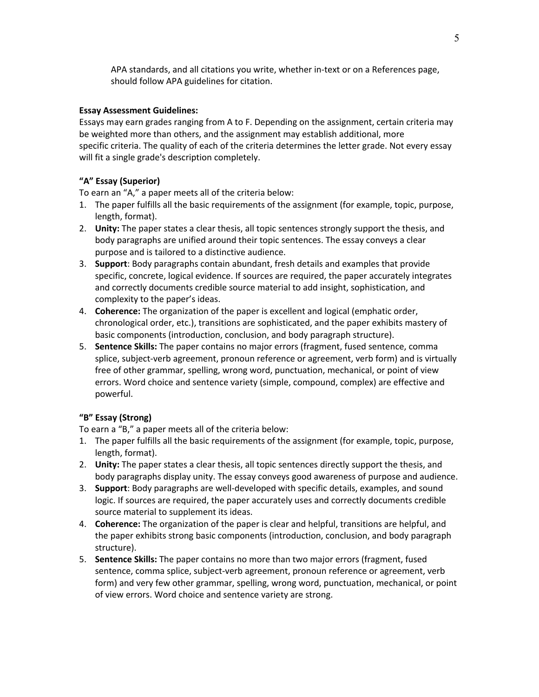APA standards, and all citations you write, whether in-text or on a References page, should follow APA guidelines for citation.

#### **Essay Assessment Guidelines:**

Essays may earn grades ranging from A to F. Depending on the assignment, certain criteria may be weighted more than others, and the assignment may establish additional, more specific criteria. The quality of each of the criteria determines the letter grade. Not every essay will fit a single grade's description completely.

#### **"A" Essay (Superior)**

To earn an "A," a paper meets all of the criteria below:

- 1. The paper fulfills all the basic requirements of the assignment (for example, topic, purpose, length, format).
- 2. **Unity:** The paper states a clear thesis, all topic sentences strongly support the thesis, and body paragraphs are unified around their topic sentences. The essay conveys a clear purpose and is tailored to a distinctive audience.
- 3. **Support**: Body paragraphs contain abundant, fresh details and examples that provide specific, concrete, logical evidence. If sources are required, the paper accurately integrates and correctly documents credible source material to add insight, sophistication, and complexity to the paper's ideas.
- 4. **Coherence:** The organization of the paper is excellent and logical (emphatic order, chronological order, etc.), transitions are sophisticated, and the paper exhibits mastery of basic components (introduction, conclusion, and body paragraph structure).
- 5. **Sentence Skills:** The paper contains no major errors (fragment, fused sentence, comma splice, subject-verb agreement, pronoun reference or agreement, verb form) and is virtually free of other grammar, spelling, wrong word, punctuation, mechanical, or point of view errors. Word choice and sentence variety (simple, compound, complex) are effective and powerful.

#### **"B" Essay (Strong)**

To earn a "B," a paper meets all of the criteria below:

- 1. The paper fulfills all the basic requirements of the assignment (for example, topic, purpose, length, format).
- 2. **Unity:** The paper states a clear thesis, all topic sentences directly support the thesis, and body paragraphs display unity. The essay conveys good awareness of purpose and audience.
- 3. **Support**: Body paragraphs are well-developed with specific details, examples, and sound logic. If sources are required, the paper accurately uses and correctly documents credible source material to supplement its ideas.
- 4. **Coherence:** The organization of the paper is clear and helpful, transitions are helpful, and the paper exhibits strong basic components (introduction, conclusion, and body paragraph structure).
- 5. **Sentence Skills:** The paper contains no more than two major errors (fragment, fused sentence, comma splice, subject-verb agreement, pronoun reference or agreement, verb form) and very few other grammar, spelling, wrong word, punctuation, mechanical, or point of view errors. Word choice and sentence variety are strong.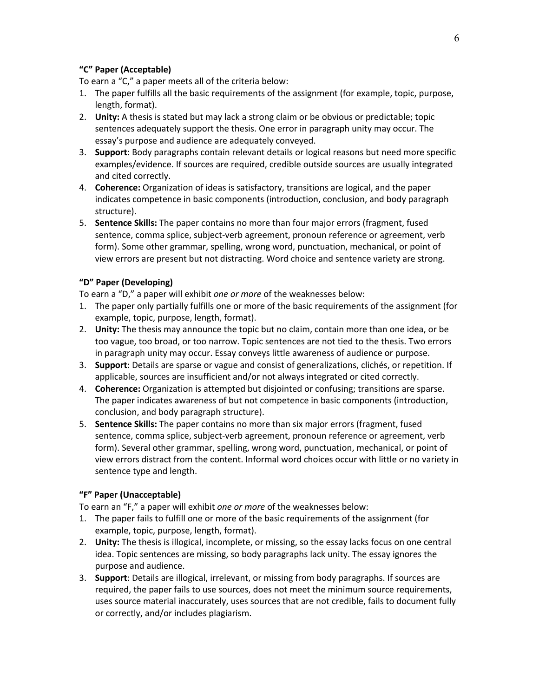#### **"C" Paper (Acceptable)**

To earn a "C," a paper meets all of the criteria below:

- 1. The paper fulfills all the basic requirements of the assignment (for example, topic, purpose, length, format).
- 2. **Unity:** A thesis is stated but may lack a strong claim or be obvious or predictable; topic sentences adequately support the thesis. One error in paragraph unity may occur. The essay's purpose and audience are adequately conveyed.
- 3. **Support**: Body paragraphs contain relevant details or logical reasons but need more specific examples/evidence. If sources are required, credible outside sources are usually integrated and cited correctly.
- 4. **Coherence:** Organization of ideas is satisfactory, transitions are logical, and the paper indicates competence in basic components (introduction, conclusion, and body paragraph structure).
- 5. **Sentence Skills:** The paper contains no more than four major errors (fragment, fused sentence, comma splice, subject-verb agreement, pronoun reference or agreement, verb form). Some other grammar, spelling, wrong word, punctuation, mechanical, or point of view errors are present but not distracting. Word choice and sentence variety are strong.

#### **"D" Paper (Developing)**

To earn a "D," a paper will exhibit *one or more* of the weaknesses below:

- 1. The paper only partially fulfills one or more of the basic requirements of the assignment (for example, topic, purpose, length, format).
- 2. **Unity:** The thesis may announce the topic but no claim, contain more than one idea, or be too vague, too broad, or too narrow. Topic sentences are not tied to the thesis. Two errors in paragraph unity may occur. Essay conveys little awareness of audience or purpose.
- 3. **Support**: Details are sparse or vague and consist of generalizations, clichés, or repetition. If applicable, sources are insufficient and/or not always integrated or cited correctly.
- 4. **Coherence:** Organization is attempted but disjointed or confusing; transitions are sparse. The paper indicates awareness of but not competence in basic components (introduction, conclusion, and body paragraph structure).
- 5. **Sentence Skills:** The paper contains no more than six major errors (fragment, fused sentence, comma splice, subject-verb agreement, pronoun reference or agreement, verb form). Several other grammar, spelling, wrong word, punctuation, mechanical, or point of view errors distract from the content. Informal word choices occur with little or no variety in sentence type and length.

#### **"F" Paper (Unacceptable)**

To earn an "F," a paper will exhibit *one or more* of the weaknesses below:

- 1. The paper fails to fulfill one or more of the basic requirements of the assignment (for example, topic, purpose, length, format).
- 2. **Unity:** The thesis is illogical, incomplete, or missing, so the essay lacks focus on one central idea. Topic sentences are missing, so body paragraphs lack unity. The essay ignores the purpose and audience.
- 3. **Support**: Details are illogical, irrelevant, or missing from body paragraphs. If sources are required, the paper fails to use sources, does not meet the minimum source requirements, uses source material inaccurately, uses sources that are not credible, fails to document fully or correctly, and/or includes plagiarism.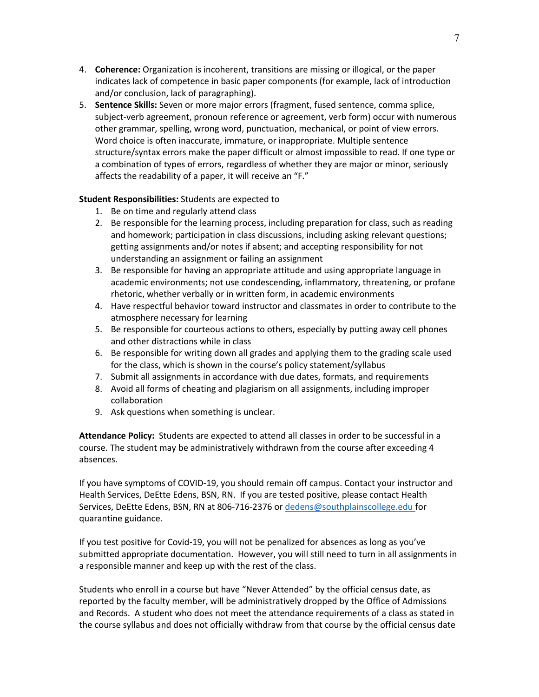- 4. **Coherence:** Organization is incoherent, transitions are missing or illogical, or the paper indicates lack of competence in basic paper components (for example, lack of introduction and/or conclusion, lack of paragraphing).
- 5. **Sentence Skills:** Seven or more major errors (fragment, fused sentence, comma splice, subject-verb agreement, pronoun reference or agreement, verb form) occur with numerous other grammar, spelling, wrong word, punctuation, mechanical, or point of view errors. Word choice is often inaccurate, immature, or inappropriate. Multiple sentence structure/syntax errors make the paper difficult or almost impossible to read. If one type or a combination of types of errors, regardless of whether they are major or minor, seriously affects the readability of a paper, it will receive an "F."

#### **Student Responsibilities:** Students are expected to

- 1. Be on time and regularly attend class
- 2. Be responsible for the learning process, including preparation for class, such as reading and homework; participation in class discussions, including asking relevant questions; getting assignments and/or notes if absent; and accepting responsibility for not understanding an assignment or failing an assignment
- 3. Be responsible for having an appropriate attitude and using appropriate language in academic environments; not use condescending, inflammatory, threatening, or profane rhetoric, whether verbally or in written form, in academic environments
- 4. Have respectful behavior toward instructor and classmates in order to contribute to the atmosphere necessary for learning
- 5. Be responsible for courteous actions to others, especially by putting away cell phones and other distractions while in class
- 6. Be responsible for writing down all grades and applying them to the grading scale used for the class, which is shown in the course's policy statement/syllabus
- 7. Submit all assignments in accordance with due dates, formats, and requirements
- 8. Avoid all forms of cheating and plagiarism on all assignments, including improper collaboration
- 9. Ask questions when something is unclear.

**Attendance Policy:** Students are expected to attend all classes in order to be successful in a course. The student may be administratively withdrawn from the course after exceeding 4 absences.

If you have symptoms of COVID-19, you should remain off campus. Contact your instructor and Health Services, DeEtte Edens, BSN, RN. If you are tested positive, please contact Health Services, DeEtte Edens, BSN, RN at 806-716-2376 or dedens@southplainscollege.edu for quarantine guidance.

If you test positive for Covid-19, you will not be penalized for absences as long as you've submitted appropriate documentation. However, you will still need to turn in all assignments in a responsible manner and keep up with the rest of the class.

Students who enroll in a course but have "Never Attended" by the official census date, as reported by the faculty member, will be administratively dropped by the Office of Admissions and Records. A student who does not meet the attendance requirements of a class as stated in the course syllabus and does not officially withdraw from that course by the official census date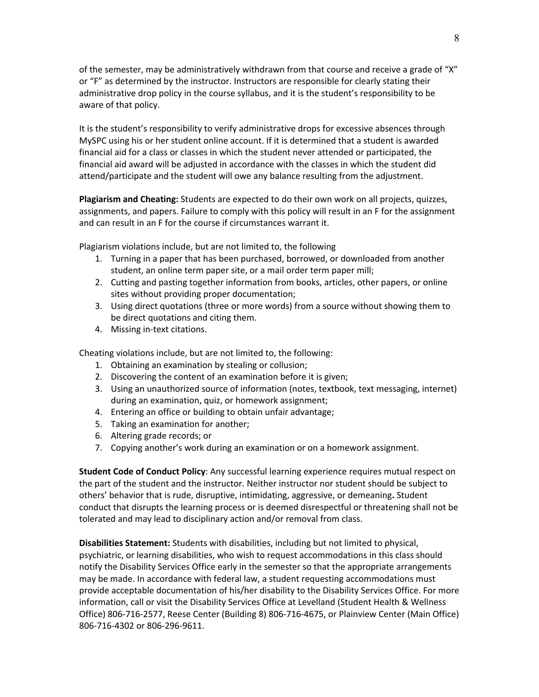of the semester, may be administratively withdrawn from that course and receive a grade of "X" or "F" as determined by the instructor. Instructors are responsible for clearly stating their administrative drop policy in the course syllabus, and it is the student's responsibility to be aware of that policy.

It is the student's responsibility to verify administrative drops for excessive absences through MySPC using his or her student online account. If it is determined that a student is awarded financial aid for a class or classes in which the student never attended or participated, the financial aid award will be adjusted in accordance with the classes in which the student did attend/participate and the student will owe any balance resulting from the adjustment.

**Plagiarism and Cheating:** Students are expected to do their own work on all projects, quizzes, assignments, and papers. Failure to comply with this policy will result in an F for the assignment and can result in an F for the course if circumstances warrant it.

Plagiarism violations include, but are not limited to, the following

- 1. Turning in a paper that has been purchased, borrowed, or downloaded from another student, an online term paper site, or a mail order term paper mill;
- 2. Cutting and pasting together information from books, articles, other papers, or online sites without providing proper documentation;
- 3. Using direct quotations (three or more words) from a source without showing them to be direct quotations and citing them.
- 4. Missing in-text citations.

Cheating violations include, but are not limited to, the following:

- 1. Obtaining an examination by stealing or collusion;
- 2. Discovering the content of an examination before it is given;
- 3. Using an unauthorized source of information (notes, textbook, text messaging, internet) during an examination, quiz, or homework assignment;
- 4. Entering an office or building to obtain unfair advantage;
- 5. Taking an examination for another;
- 6. Altering grade records; or
- 7. Copying another's work during an examination or on a homework assignment.

**Student Code of Conduct Policy**: Any successful learning experience requires mutual respect on the part of the student and the instructor. Neither instructor nor student should be subject to others' behavior that is rude, disruptive, intimidating, aggressive, or demeaning**.** Student conduct that disrupts the learning process or is deemed disrespectful or threatening shall not be tolerated and may lead to disciplinary action and/or removal from class.

**Disabilities Statement:** Students with disabilities, including but not limited to physical, psychiatric, or learning disabilities, who wish to request accommodations in this class should notify the Disability Services Office early in the semester so that the appropriate arrangements may be made. In accordance with federal law, a student requesting accommodations must provide acceptable documentation of his/her disability to the Disability Services Office. For more information, call or visit the Disability Services Office at Levelland (Student Health & Wellness Office) 806-716-2577, Reese Center (Building 8) 806-716-4675, or Plainview Center (Main Office) 806-716-4302 or 806-296-9611.